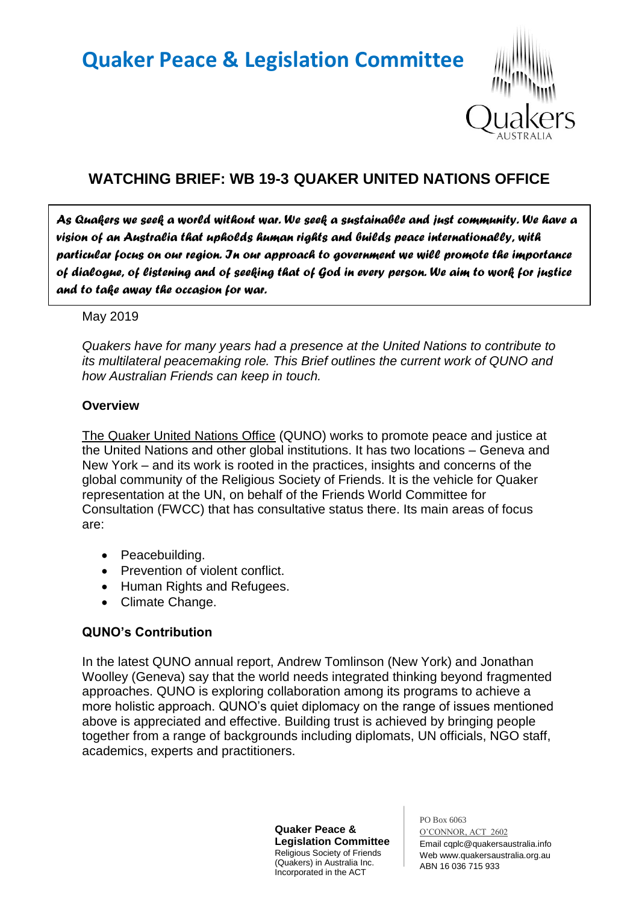# **Quaker Peace & Legislation Committee**



# **WATCHING BRIEF: WB 19-3 QUAKER UNITED NATIONS OFFICE**

*As Quakers we seek a world without war. We seek a sustainable and just community. We have a vision of an Australia that upholds human rights and builds peace internationally, with particular focus on our region. In our approach to government we will promote the importance of dialogue, of listening and of seeking that of God in every person. We aim to work for justice and to take away the occasion for war.* 

#### May 2019

*Quakers have for many years had a presence at the United Nations to contribute to its multilateral peacemaking role. This Brief outlines the current work of QUNO and how Australian Friends can keep in touch.*

#### **Overview**

The Quaker United Nations Office (QUNO) works to promote peace and justice at the United Nations and other global institutions. It has two locations – Geneva and New York – and its work is rooted in the practices, insights and concerns of the global community of the Religious Society of Friends. It is the vehicle for Quaker representation at the UN, on behalf of the Friends World Committee for Consultation (FWCC) that has consultative status there. Its main areas of focus are:

- Peacebuilding.
- Prevention of violent conflict.
- Human Rights and Refugees.
- Climate Change.

# **QUNO's Contribution**

In the latest QUNO annual report, Andrew Tomlinson (New York) and Jonathan Woolley (Geneva) say that the world needs integrated thinking beyond fragmented approaches. QUNO is exploring collaboration among its programs to achieve a more holistic approach. QUNO's quiet diplomacy on the range of issues mentioned above is appreciated and effective. Building trust is achieved by bringing people together from a range of backgrounds including diplomats, UN officials, NGO staff, academics, experts and practitioners.

> **Quaker Peace & Legislation Committee** Religious Society of Friends (Quakers) in Australia Inc. Incorporated in the ACT

PO Box 6063 O'CONNOR, ACT 2602 Email cqplc@quakersaustralia.info Web www.quakersaustralia.org.au ABN 16 036 715 933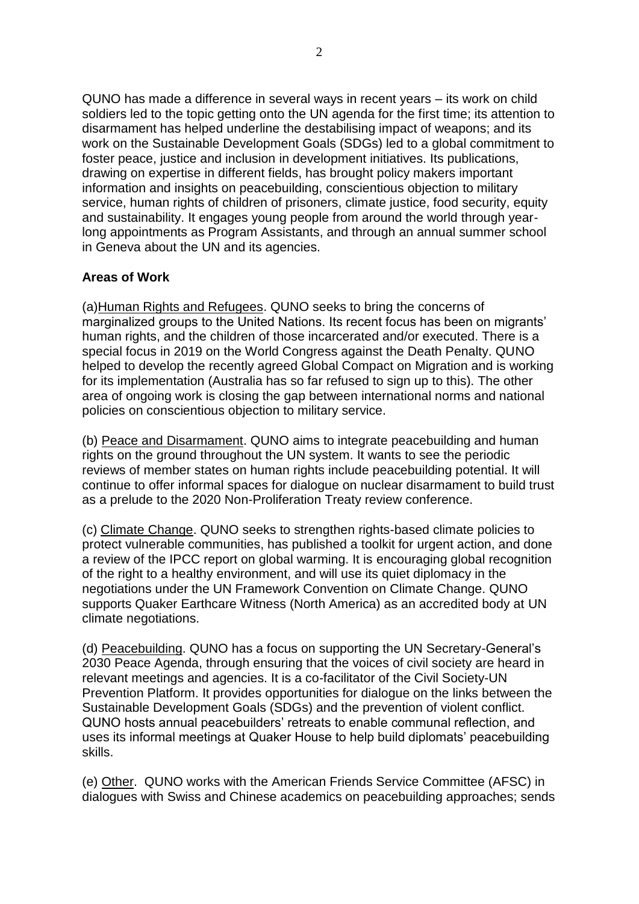QUNO has made a difference in several ways in recent years – its work on child soldiers led to the topic getting onto the UN agenda for the first time; its attention to disarmament has helped underline the destabilising impact of weapons; and its work on the Sustainable Development Goals (SDGs) led to a global commitment to foster peace, justice and inclusion in development initiatives. Its publications, drawing on expertise in different fields, has brought policy makers important information and insights on peacebuilding, conscientious objection to military service, human rights of children of prisoners, climate justice, food security, equity and sustainability. It engages young people from around the world through yearlong appointments as Program Assistants, and through an annual summer school in Geneva about the UN and its agencies.

### **Areas of Work**

(a)Human Rights and Refugees. QUNO seeks to bring the concerns of marginalized groups to the United Nations. Its recent focus has been on migrants' human rights, and the children of those incarcerated and/or executed. There is a special focus in 2019 on the World Congress against the Death Penalty. QUNO helped to develop the recently agreed Global Compact on Migration and is working for its implementation (Australia has so far refused to sign up to this). The other area of ongoing work is closing the gap between international norms and national policies on conscientious objection to military service.

(b) Peace and Disarmament. QUNO aims to integrate peacebuilding and human rights on the ground throughout the UN system. It wants to see the periodic reviews of member states on human rights include peacebuilding potential. It will continue to offer informal spaces for dialogue on nuclear disarmament to build trust as a prelude to the 2020 Non-Proliferation Treaty review conference.

(c) Climate Change. QUNO seeks to strengthen rights-based climate policies to protect vulnerable communities, has published a toolkit for urgent action, and done a review of the IPCC report on global warming. It is encouraging global recognition of the right to a healthy environment, and will use its quiet diplomacy in the negotiations under the UN Framework Convention on Climate Change. QUNO supports Quaker Earthcare Witness (North America) as an accredited body at UN climate negotiations.

(d) Peacebuilding. QUNO has a focus on supporting the UN Secretary-General's 2030 Peace Agenda, through ensuring that the voices of civil society are heard in relevant meetings and agencies. It is a co-facilitator of the Civil Society-UN Prevention Platform. It provides opportunities for dialogue on the links between the Sustainable Development Goals (SDGs) and the prevention of violent conflict. QUNO hosts annual peacebuilders' retreats to enable communal reflection, and uses its informal meetings at Quaker House to help build diplomats' peacebuilding skills.

(e) Other. QUNO works with the American Friends Service Committee (AFSC) in dialogues with Swiss and Chinese academics on peacebuilding approaches; sends